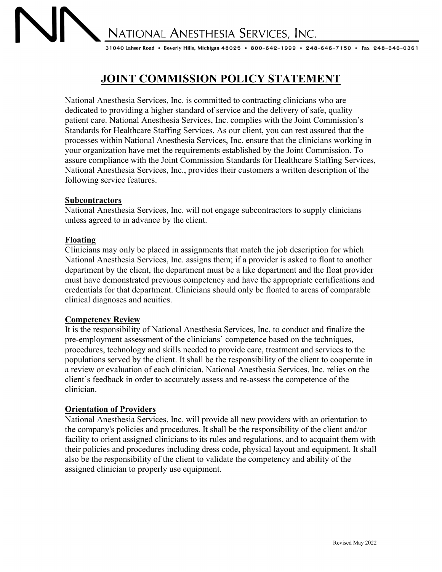NATIONAL ANESTHESIA SERVICES, INC.

31040 Lahser Road • Beverly Hills, Michigan 48025 • 800-642-1999 • 248-646-7150 • Fax 248-646-0361

# **JOINT COMMISSION POLICY STATEMENT**

National Anesthesia Services, Inc. is committed to contracting clinicians who are dedicated to providing a higher standard of service and the delivery of safe, quality patient care. National Anesthesia Services, Inc. complies with the Joint Commission's Standards for Healthcare Staffing Services. As our client, you can rest assured that the processes within National Anesthesia Services, Inc. ensure that the clinicians working in your organization have met the requirements established by the Joint Commission. To assure compliance with the Joint Commission Standards for Healthcare Staffing Services, National Anesthesia Services, Inc., provides their customers a written description of the following service features.

#### **Subcontractors**

National Anesthesia Services, Inc. will not engage subcontractors to supply clinicians unless agreed to in advance by the client.

#### **Floating**

Clinicians may only be placed in assignments that match the job description for which National Anesthesia Services, Inc. assigns them; if a provider is asked to float to another department by the client, the department must be a like department and the float provider must have demonstrated previous competency and have the appropriate certifications and credentials for that department. Clinicians should only be floated to areas of comparable clinical diagnoses and acuities.

#### **Competency Review**

It is the responsibility of National Anesthesia Services, Inc. to conduct and finalize the pre-employment assessment of the clinicians' competence based on the techniques, procedures, technology and skills needed to provide care, treatment and services to the populations served by the client. It shall be the responsibility of the client to cooperate in a review or evaluation of each clinician. National Anesthesia Services, Inc. relies on the client's feedback in order to accurately assess and re-assess the competence of the clinician.

#### **Orientation of Providers**

National Anesthesia Services, Inc. will provide all new providers with an orientation to the company's policies and procedures. It shall be the responsibility of the client and/or facility to orient assigned clinicians to its rules and regulations, and to acquaint them with their policies and procedures including dress code, physical layout and equipment. It shall also be the responsibility of the client to validate the competency and ability of the assigned clinician to properly use equipment.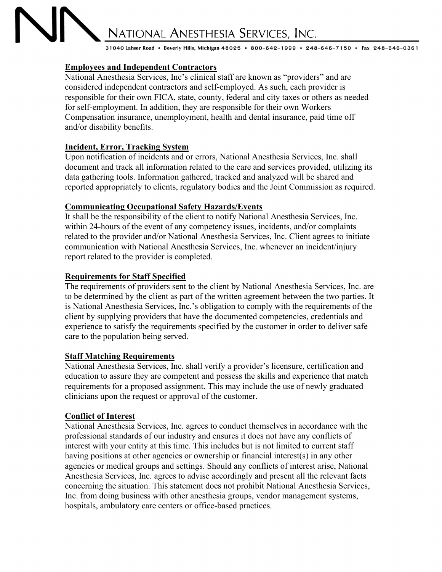# NATIONAL ANESTHESIA SERVICES, INC. 31040 Lahser Road • Beverly Hills, Michigan 48025 • 800-642-1999 • 248-646-7150 • Fax 248-646-0361

# **Employees and Independent Contractors**

National Anesthesia Services, Inc's clinical staff are known as "providers" and are considered independent contractors and self-employed. As such, each provider is responsible for their own FICA, state, county, federal and city taxes or others as needed for self-employment. In addition, they are responsible for their own Workers Compensation insurance, unemployment, health and dental insurance, paid time off and/or disability benefits.

# **Incident, Error, Tracking System**

Upon notification of incidents and or errors, National Anesthesia Services, Inc. shall document and track all information related to the care and services provided, utilizing its data gathering tools. Information gathered, tracked and analyzed will be shared and reported appropriately to clients, regulatory bodies and the Joint Commission as required.

# **Communicating Occupational Safety Hazards/Events**

It shall be the responsibility of the client to notify National Anesthesia Services, Inc. within 24-hours of the event of any competency issues, incidents, and/or complaints related to the provider and/or National Anesthesia Services, Inc. Client agrees to initiate communication with National Anesthesia Services, Inc. whenever an incident/injury report related to the provider is completed.

#### **Requirements for Staff Specified**

The requirements of providers sent to the client by National Anesthesia Services, Inc. are to be determined by the client as part of the written agreement between the two parties. It is National Anesthesia Services, Inc.'s obligation to comply with the requirements of the client by supplying providers that have the documented competencies, credentials and experience to satisfy the requirements specified by the customer in order to deliver safe care to the population being served.

#### **Staff Matching Requirements**

National Anesthesia Services, Inc. shall verify a provider's licensure, certification and education to assure they are competent and possess the skills and experience that match requirements for a proposed assignment. This may include the use of newly graduated clinicians upon the request or approval of the customer.

# **Conflict of Interest**

National Anesthesia Services, Inc. agrees to conduct themselves in accordance with the professional standards of our industry and ensures it does not have any conflicts of interest with your entity at this time. This includes but is not limited to current staff having positions at other agencies or ownership or financial interest(s) in any other agencies or medical groups and settings. Should any conflicts of interest arise, National Anesthesia Services, Inc. agrees to advise accordingly and present all the relevant facts concerning the situation. This statement does not prohibit National Anesthesia Services, Inc. from doing business with other anesthesia groups, vendor management systems, hospitals, ambulatory care centers or office-based practices.